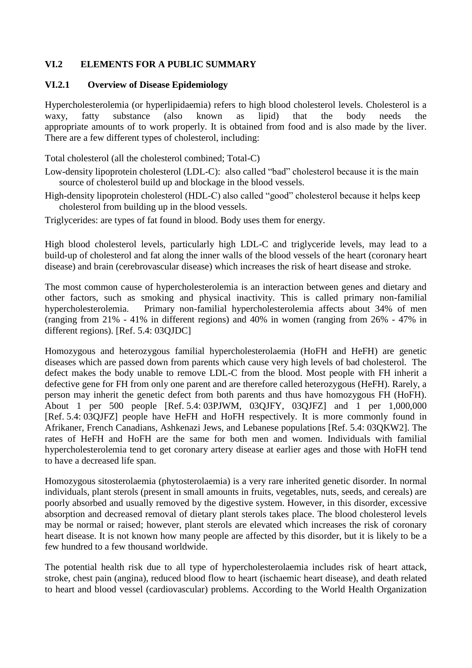## **VI.2 ELEMENTS FOR A PUBLIC SUMMARY**

#### **VI.2.1 Overview of Disease Epidemiology**

Hypercholesterolemia (or hyperlipidaemia) refers to high blood cholesterol levels. Cholesterol is a waxy, fatty substance (also known as lipid) that the body needs the appropriate amounts of to work properly. It is obtained from food and is also made by the liver. There are a few different types of cholesterol, including:

Total cholesterol (all the cholesterol combined; Total-C)

Low-density lipoprotein cholesterol (LDL-C): also called "bad" cholesterol because it is the main source of cholesterol build up and blockage in the blood vessels.

High-density lipoprotein cholesterol (HDL-C) also called "good" cholesterol because it helps keep cholesterol from building up in the blood vessels.

Triglycerides: are types of fat found in blood. Body uses them for energy.

High blood cholesterol levels, particularly high LDL-C and triglyceride levels, may lead to a build-up of cholesterol and fat along the inner walls of the blood vessels of the heart (coronary heart disease) and brain (cerebrovascular disease) which increases the risk of heart disease and stroke.

The most common cause of hypercholesterolemia is an interaction between genes and dietary and other factors, such as smoking and physical inactivity. This is called primary non-familial hypercholesterolemia. Primary non-familial hypercholesterolemia affects about 34% of men (ranging from 21% - 41% in different regions) and 40% in women (ranging from 26% - 47% in different regions). [Ref. 5.4: 03QJDC]

Homozygous and heterozygous familial hypercholesterolaemia (HoFH and HeFH) are genetic diseases which are passed down from parents which cause very high levels of bad cholesterol. The defect makes the body unable to remove LDL-C from the blood. Most people with FH inherit a defective gene for FH from only one parent and are therefore called heterozygous (HeFH). Rarely, a person may inherit the genetic defect from both parents and thus have homozygous FH (HoFH). About 1 per 500 people [Ref. 5.4: 03PJWM, 03QJFY, 03QJFZ] and 1 per 1,000,000 [Ref. 5.4: 03QJFZ] people have HeFH and HoFH respectively. It is more commonly found in Afrikaner, French Canadians, Ashkenazi Jews, and Lebanese populations [Ref. 5.4: 03QKW2]. The rates of HeFH and HoFH are the same for both men and women. Individuals with familial hypercholesterolemia tend to get coronary artery disease at earlier ages and those with HoFH tend to have a decreased life span.

Homozygous sitosterolaemia (phytosterolaemia) is a very rare inherited genetic disorder. In normal individuals, plant sterols (present in small amounts in fruits, vegetables, nuts, seeds, and cereals) are poorly absorbed and usually removed by the digestive system. However, in this disorder, excessive absorption and decreased removal of dietary plant sterols takes place. The blood cholesterol levels may be normal or raised; however, plant sterols are elevated which increases the risk of coronary heart disease. It is not known how many people are affected by this disorder, but it is likely to be a few hundred to a few thousand worldwide.

The potential health risk due to all type of hypercholesterolaemia includes risk of heart attack, stroke, chest pain (angina), reduced blood flow to heart (ischaemic heart disease), and death related to heart and blood vessel (cardiovascular) problems. According to the World Health Organization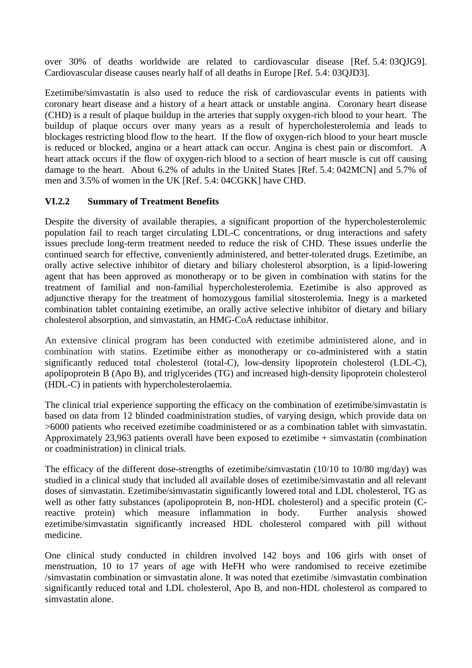over 30% of deaths worldwide are related to cardiovascular disease [Ref. 5.4: 03QJG9]. Cardiovascular disease causes nearly half of all deaths in Europe [Ref. 5.4: 03QJD3].

Ezetimibe/simvastatin is also used to reduce the risk of cardiovascular events in patients with coronary heart disease and a history of a heart attack or unstable angina. Coronary heart disease (CHD) is a result of plaque buildup in the arteries that supply oxygen-rich blood to your heart. The buildup of plaque occurs over many years as a result of hypercholesterolemia and leads to blockages restricting blood flow to the heart. If the flow of oxygen-rich blood to your heart muscle is reduced or blocked, angina or a heart attack can occur. Angina is chest pain or discomfort. A heart attack occurs if the flow of oxygen-rich blood to a section of heart muscle is cut off causing damage to the heart. About 6.2% of adults in the United States [Ref. 5.4: 042MCN] and 5.7% of men and 3.5% of women in the UK [Ref. 5.4: 04CGKK] have CHD.

## **VI.2.2 Summary of Treatment Benefits**

Despite the diversity of available therapies, a significant proportion of the hypercholesterolemic population fail to reach target circulating LDL-C concentrations, or drug interactions and safety issues preclude long-term treatment needed to reduce the risk of CHD. These issues underlie the continued search for effective, conveniently administered, and better-tolerated drugs. Ezetimibe, an orally active selective inhibitor of dietary and biliary cholesterol absorption, is a lipid-lowering agent that has been approved as monotherapy or to be given in combination with statins for the treatment of familial and non-familial hypercholesterolemia. Ezetimibe is also approved as adjunctive therapy for the treatment of homozygous familial sitosterolemia. Inegy is a marketed combination tablet containing ezetimibe, an orally active selective inhibitor of dietary and biliary cholesterol absorption, and simvastatin, an HMG-CoA reductase inhibitor.

An extensive clinical program has been conducted with ezetimibe administered alone, and in combination with statins. Ezetimibe either as monotherapy or co-administered with a statin significantly reduced total cholesterol (total-C), low-density lipoprotein cholesterol (LDL-C), apolipoprotein B (Apo B), and triglycerides (TG) and increased high-density lipoprotein cholesterol (HDL-C) in patients with hypercholesterolaemia.

The clinical trial experience supporting the efficacy on the combination of ezetimibe/simvastatin is based on data from 12 blinded coadministration studies, of varying design, which provide data on >6000 patients who received ezetimibe coadministered or as a combination tablet with simvastatin. Approximately 23,963 patients overall have been exposed to ezetimibe + simvastatin (combination or coadministration) in clinical trials.

The efficacy of the different dose-strengths of ezetimibe/simvastatin (10/10 to 10/80 mg/day) was studied in a clinical study that included all available doses of ezetimibe/simvastatin and all relevant doses of simvastatin. Ezetimibe/simvastatin significantly lowered total and LDL cholesterol, TG as well as other fatty substances (apolipoprotein B, non-HDL cholesterol) and a specific protein (Creactive protein) which measure inflammation in body. Further analysis showed ezetimibe/simvastatin significantly increased HDL cholesterol compared with pill without medicine.

One clinical study conducted in children involved 142 boys and 106 girls with onset of menstruation, 10 to 17 years of age with HeFH who were randomised to receive ezetimibe /simvastatin combination or simvastatin alone. It was noted that ezetimibe /simvastatin combination significantly reduced total and LDL cholesterol, Apo B, and non-HDL cholesterol as compared to simvastatin alone.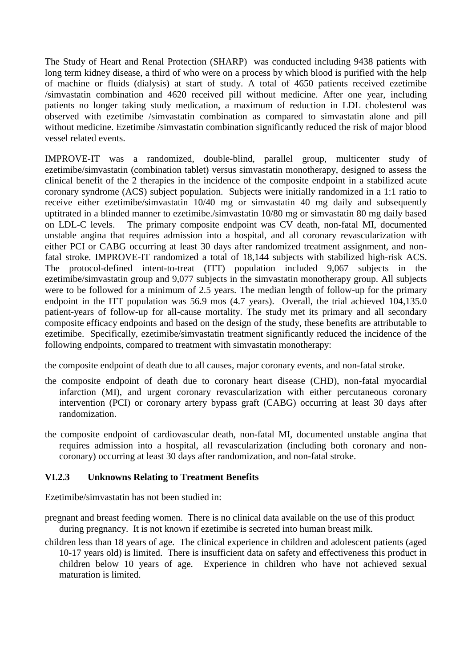The Study of Heart and Renal Protection (SHARP) was conducted including 9438 patients with long term kidney disease, a third of who were on a process by which blood is purified with the help of machine or fluids (dialysis) at start of study. A total of 4650 patients received ezetimibe /simvastatin combination and 4620 received pill without medicine. After one year, including patients no longer taking study medication, a maximum of reduction in LDL cholesterol was observed with ezetimibe /simvastatin combination as compared to simvastatin alone and pill without medicine. Ezetimibe /simvastatin combination significantly reduced the risk of major blood vessel related events.

IMPROVE-IT was a randomized, double-blind, parallel group, multicenter study of ezetimibe/simvastatin (combination tablet) versus simvastatin monotherapy, designed to assess the clinical benefit of the 2 therapies in the incidence of the composite endpoint in a stabilized acute coronary syndrome (ACS) subject population. Subjects were initially randomized in a 1:1 ratio to receive either ezetimibe/simvastatin 10/40 mg or simvastatin 40 mg daily and subsequently uptitrated in a blinded manner to ezetimibe./simvastatin 10/80 mg or simvastatin 80 mg daily based on LDL-C levels. The primary composite endpoint was CV death, non-fatal MI, documented unstable angina that requires admission into a hospital, and all coronary revascularization with either PCI or CABG occurring at least 30 days after randomized treatment assignment, and nonfatal stroke. IMPROVE-IT randomized a total of 18,144 subjects with stabilized high-risk ACS. The protocol-defined intent-to-treat (ITT) population included 9,067 subjects in the ezetimibe/simvastatin group and 9,077 subjects in the simvastatin monotherapy group. All subjects were to be followed for a minimum of 2.5 years. The median length of follow-up for the primary endpoint in the ITT population was 56.9 mos (4.7 years). Overall, the trial achieved 104,135.0 patient-years of follow-up for all-cause mortality. The study met its primary and all secondary composite efficacy endpoints and based on the design of the study, these benefits are attributable to ezetimibe. Specifically, ezetimibe/simvastatin treatment significantly reduced the incidence of the following endpoints, compared to treatment with simvastatin monotherapy:

the composite endpoint of death due to all causes, major coronary events, and non-fatal stroke.

- the composite endpoint of death due to coronary heart disease (CHD), non-fatal myocardial infarction (MI), and urgent coronary revascularization with either percutaneous coronary intervention (PCI) or coronary artery bypass graft (CABG) occurring at least 30 days after randomization.
- the composite endpoint of cardiovascular death, non-fatal MI, documented unstable angina that requires admission into a hospital, all revascularization (including both coronary and noncoronary) occurring at least 30 days after randomization, and non-fatal stroke.

## **VI.2.3 Unknowns Relating to Treatment Benefits**

Ezetimibe/simvastatin has not been studied in:

pregnant and breast feeding women. There is no clinical data available on the use of this product during pregnancy. It is not known if ezetimibe is secreted into human breast milk.

children less than 18 years of age. The clinical experience in children and adolescent patients (aged 10-17 years old) is limited. There is insufficient data on safety and effectiveness this product in children below 10 years of age. Experience in children who have not achieved sexual maturation is limited.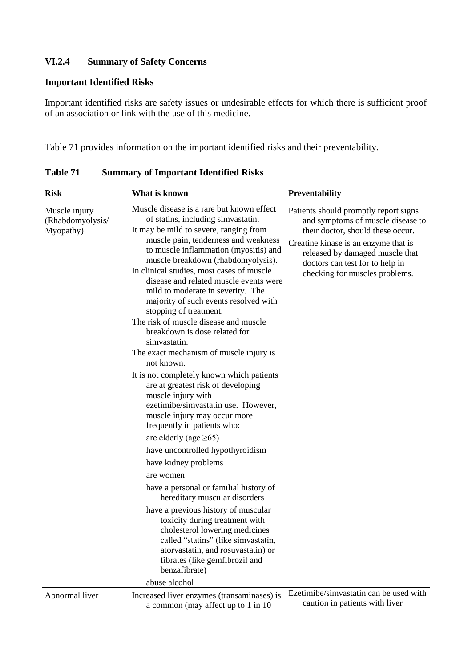# **VI.2.4 Summary of Safety Concerns**

#### **Important Identified Risks**

Important identified risks are safety issues or undesirable effects for which there is sufficient proof of an association or link with the use of this medicine.

Table 71 provides information on the important identified risks and their preventability.

| <b>Risk</b>                                    | What is known                                                                                                                                                                                                                                                                                                                                                                                                                                                                                                                                                                                                                                                                                                                                                                                                                                                                                                                                                                                                                                                                                                                                                                                                                                                     | <b>Preventability</b>                                                                                                                                                                                                                                           |  |
|------------------------------------------------|-------------------------------------------------------------------------------------------------------------------------------------------------------------------------------------------------------------------------------------------------------------------------------------------------------------------------------------------------------------------------------------------------------------------------------------------------------------------------------------------------------------------------------------------------------------------------------------------------------------------------------------------------------------------------------------------------------------------------------------------------------------------------------------------------------------------------------------------------------------------------------------------------------------------------------------------------------------------------------------------------------------------------------------------------------------------------------------------------------------------------------------------------------------------------------------------------------------------------------------------------------------------|-----------------------------------------------------------------------------------------------------------------------------------------------------------------------------------------------------------------------------------------------------------------|--|
| Muscle injury<br>(Rhabdomyolysis/<br>Myopathy) | Muscle disease is a rare but known effect<br>of statins, including simvastatin.<br>It may be mild to severe, ranging from<br>muscle pain, tenderness and weakness<br>to muscle inflammation (myositis) and<br>muscle breakdown (rhabdomyolysis).<br>In clinical studies, most cases of muscle<br>disease and related muscle events were<br>mild to moderate in severity. The<br>majority of such events resolved with<br>stopping of treatment.<br>The risk of muscle disease and muscle<br>breakdown is dose related for<br>simvastatin.<br>The exact mechanism of muscle injury is<br>not known.<br>It is not completely known which patients<br>are at greatest risk of developing<br>muscle injury with<br>ezetimibe/simvastatin use. However,<br>muscle injury may occur more<br>frequently in patients who:<br>are elderly (age $\geq 65$ )<br>have uncontrolled hypothyroidism<br>have kidney problems<br>are women<br>have a personal or familial history of<br>hereditary muscular disorders<br>have a previous history of muscular<br>toxicity during treatment with<br>cholesterol lowering medicines<br>called "statins" (like simvastatin,<br>atorvastatin, and rosuvastatin) or<br>fibrates (like gemfibrozil and<br>benzafibrate)<br>abuse alcohol | Patients should promptly report signs<br>and symptoms of muscle disease to<br>their doctor, should these occur.<br>Creatine kinase is an enzyme that is<br>released by damaged muscle that<br>doctors can test for to help in<br>checking for muscles problems. |  |
| Abnormal liver                                 | Increased liver enzymes (transaminases) is<br>a common (may affect up to 1 in 10)                                                                                                                                                                                                                                                                                                                                                                                                                                                                                                                                                                                                                                                                                                                                                                                                                                                                                                                                                                                                                                                                                                                                                                                 | Ezetimibe/simvastatin can be used with<br>caution in patients with liver                                                                                                                                                                                        |  |

**Table 71 Summary of Important Identified Risks**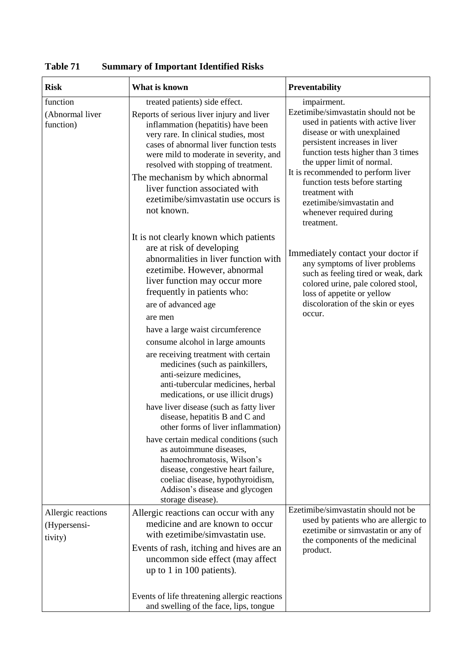| <b>Risk</b>                                   | What is known                                                                                                                                                                                                                                                                                                                    | <b>Preventability</b>                                                                                                                                                                                                                                                                                                                   |
|-----------------------------------------------|----------------------------------------------------------------------------------------------------------------------------------------------------------------------------------------------------------------------------------------------------------------------------------------------------------------------------------|-----------------------------------------------------------------------------------------------------------------------------------------------------------------------------------------------------------------------------------------------------------------------------------------------------------------------------------------|
| function<br>(Abnormal liver                   | treated patients) side effect.<br>Reports of serious liver injury and liver                                                                                                                                                                                                                                                      | impairment.<br>Ezetimibe/simvastatin should not be                                                                                                                                                                                                                                                                                      |
| function)                                     | inflammation (hepatitis) have been<br>very rare. In clinical studies, most<br>cases of abnormal liver function tests<br>were mild to moderate in severity, and<br>resolved with stopping of treatment.<br>The mechanism by which abnormal<br>liver function associated with<br>ezetimibe/simvastatin use occurs is<br>not known. | used in patients with active liver<br>disease or with unexplained<br>persistent increases in liver<br>function tests higher than 3 times<br>the upper limit of normal.<br>It is recommended to perform liver<br>function tests before starting<br>treatment with<br>ezetimibe/simvastatin and<br>whenever required during<br>treatment. |
|                                               | It is not clearly known which patients<br>are at risk of developing<br>abnormalities in liver function with<br>ezetimibe. However, abnormal<br>liver function may occur more<br>frequently in patients who:<br>are of advanced age<br>are men                                                                                    | Immediately contact your doctor if<br>any symptoms of liver problems<br>such as feeling tired or weak, dark<br>colored urine, pale colored stool,<br>loss of appetite or yellow<br>discoloration of the skin or eyes<br>occur.                                                                                                          |
|                                               | have a large waist circumference<br>consume alcohol in large amounts                                                                                                                                                                                                                                                             |                                                                                                                                                                                                                                                                                                                                         |
|                                               | are receiving treatment with certain<br>medicines (such as painkillers,<br>anti-seizure medicines,<br>anti-tubercular medicines, herbal<br>medications, or use illicit drugs)<br>have liver disease (such as fatty liver                                                                                                         |                                                                                                                                                                                                                                                                                                                                         |
|                                               | disease, hepatitis B and C and<br>other forms of liver inflammation)                                                                                                                                                                                                                                                             |                                                                                                                                                                                                                                                                                                                                         |
|                                               | have certain medical conditions (such<br>as autoimmune diseases,<br>haemochromatosis, Wilson's<br>disease, congestive heart failure,<br>coeliac disease, hypothyroidism,<br>Addison's disease and glycogen<br>storage disease).                                                                                                  |                                                                                                                                                                                                                                                                                                                                         |
| Allergic reactions<br>(Hypersensi-<br>tivity) | Allergic reactions can occur with any<br>medicine and are known to occur<br>with ezetimibe/simvastatin use.                                                                                                                                                                                                                      | Ezetimibe/simvastatin should not be<br>used by patients who are allergic to<br>ezetimibe or simvastatin or any of<br>the components of the medicinal                                                                                                                                                                                    |
|                                               | Events of rash, itching and hives are an<br>uncommon side effect (may affect<br>up to 1 in 100 patients).                                                                                                                                                                                                                        | product.                                                                                                                                                                                                                                                                                                                                |
|                                               | Events of life threatening allergic reactions<br>and swelling of the face, lips, tongue                                                                                                                                                                                                                                          |                                                                                                                                                                                                                                                                                                                                         |

**Table 71 Summary of Important Identified Risks**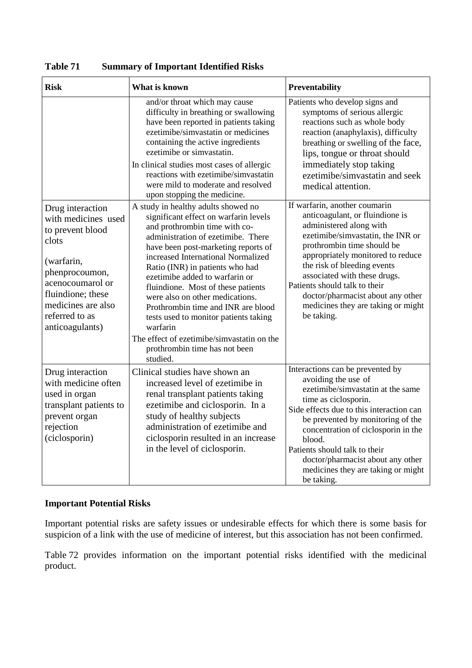| <b>Risk</b>                                                                                                                                                                                              | <b>What is known</b>                                                                                                                                                                                                                                                                                                                                                                                                                                                                                                                                                 | Preventability                                                                                                                                                                                                                                                                                                                                                                               |  |
|----------------------------------------------------------------------------------------------------------------------------------------------------------------------------------------------------------|----------------------------------------------------------------------------------------------------------------------------------------------------------------------------------------------------------------------------------------------------------------------------------------------------------------------------------------------------------------------------------------------------------------------------------------------------------------------------------------------------------------------------------------------------------------------|----------------------------------------------------------------------------------------------------------------------------------------------------------------------------------------------------------------------------------------------------------------------------------------------------------------------------------------------------------------------------------------------|--|
|                                                                                                                                                                                                          | and/or throat which may cause<br>difficulty in breathing or swallowing<br>have been reported in patients taking<br>ezetimibe/simvastatin or medicines<br>containing the active ingredients<br>ezetimibe or simvastatin.<br>In clinical studies most cases of allergic<br>reactions with ezetimibe/simvastatin<br>were mild to moderate and resolved<br>upon stopping the medicine.                                                                                                                                                                                   | Patients who develop signs and<br>symptoms of serious allergic<br>reactions such as whole body<br>reaction (anaphylaxis), difficulty<br>breathing or swelling of the face,<br>lips, tongue or throat should<br>immediately stop taking<br>ezetimibe/simvastatin and seek<br>medical attention.                                                                                               |  |
| Drug interaction<br>with medicines used<br>to prevent blood<br>clots<br>(warfarin,<br>phenprocoumon,<br>acenocoumarol or<br>fluindione; these<br>medicines are also<br>referred to as<br>anticoagulants) | A study in healthy adults showed no<br>significant effect on warfarin levels<br>and prothrombin time with co-<br>administration of ezetimibe. There<br>have been post-marketing reports of<br>increased International Normalized<br>Ratio (INR) in patients who had<br>ezetimibe added to warfarin or<br>fluindione. Most of these patients<br>were also on other medications.<br>Prothrombin time and INR are blood<br>tests used to monitor patients taking<br>warfarin<br>The effect of ezetimibe/simvastatin on the<br>prothrombin time has not been<br>studied. | If warfarin, another coumarin<br>anticoagulant, or fluindione is<br>administered along with<br>ezetimibe/simvastatin, the INR or<br>prothrombin time should be<br>appropriately monitored to reduce<br>the risk of bleeding events<br>associated with these drugs.<br>Patients should talk to their<br>doctor/pharmacist about any other<br>medicines they are taking or might<br>be taking. |  |
| Drug interaction<br>with medicine often<br>used in organ<br>transplant patients to<br>prevent organ<br>rejection<br>(ciclosporin)                                                                        | Clinical studies have shown an<br>increased level of ezetimibe in<br>renal transplant patients taking<br>ezetimibe and ciclosporin. In a<br>study of healthy subjects<br>administration of ezetimibe and<br>ciclosporin resulted in an increase<br>in the level of ciclosporin.                                                                                                                                                                                                                                                                                      | Interactions can be prevented by<br>avoiding the use of<br>ezetimibe/simvastatin at the same<br>time as ciclosporin.<br>Side effects due to this interaction can<br>be prevented by monitoring of the<br>concentration of ciclosporin in the<br>blood.<br>Patients should talk to their<br>doctor/pharmacist about any other<br>medicines they are taking or might<br>be taking.             |  |

**Table 71 Summary of Important Identified Risks**

## **Important Potential Risks**

Important potential risks are safety issues or undesirable effects for which there is some basis for suspicion of a link with the use of medicine of interest, but this association has not been confirmed.

Table 72 provides information on the important potential risks identified with the medicinal product.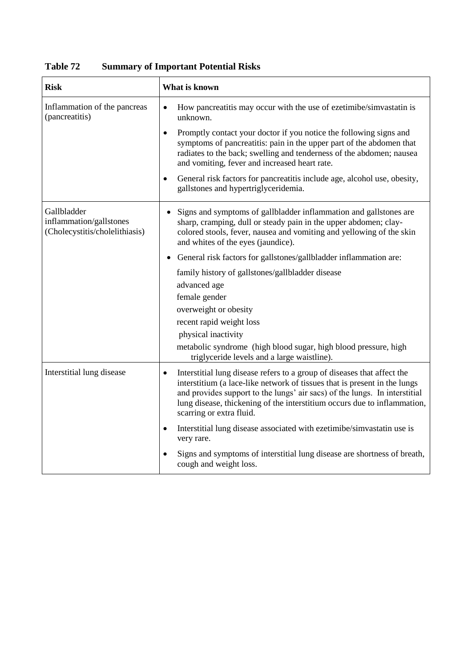| <b>Risk</b>                                                              | What is known                                                                                                                                                                                                                                                                                                                              |
|--------------------------------------------------------------------------|--------------------------------------------------------------------------------------------------------------------------------------------------------------------------------------------------------------------------------------------------------------------------------------------------------------------------------------------|
| Inflammation of the pancreas<br>(pancreatitis)                           | How pancreatitis may occur with the use of ezetimibe/simvastatin is<br>unknown.                                                                                                                                                                                                                                                            |
|                                                                          | Promptly contact your doctor if you notice the following signs and<br>$\bullet$<br>symptoms of pancreatitis: pain in the upper part of the abdomen that<br>radiates to the back; swelling and tenderness of the abdomen; nausea<br>and vomiting, fever and increased heart rate.                                                           |
|                                                                          | General risk factors for pancreatitis include age, alcohol use, obesity,<br>$\bullet$<br>gallstones and hypertriglyceridemia.                                                                                                                                                                                                              |
| Gallbladder<br>inflammation/gallstones<br>(Cholecystitis/cholelithiasis) | Signs and symptoms of gallbladder inflammation and gallstones are<br>$\bullet$<br>sharp, cramping, dull or steady pain in the upper abdomen; clay-<br>colored stools, fever, nausea and vomiting and yellowing of the skin<br>and whites of the eyes (jaundice).                                                                           |
|                                                                          | General risk factors for gallstones/gallbladder inflammation are:<br>$\bullet$                                                                                                                                                                                                                                                             |
|                                                                          | family history of gallstones/gallbladder disease                                                                                                                                                                                                                                                                                           |
|                                                                          | advanced age                                                                                                                                                                                                                                                                                                                               |
|                                                                          | female gender                                                                                                                                                                                                                                                                                                                              |
|                                                                          | overweight or obesity                                                                                                                                                                                                                                                                                                                      |
|                                                                          | recent rapid weight loss                                                                                                                                                                                                                                                                                                                   |
|                                                                          | physical inactivity                                                                                                                                                                                                                                                                                                                        |
|                                                                          | metabolic syndrome (high blood sugar, high blood pressure, high<br>triglyceride levels and a large waistline).                                                                                                                                                                                                                             |
| Interstitial lung disease                                                | Interstitial lung disease refers to a group of diseases that affect the<br>interstitium (a lace-like network of tissues that is present in the lungs<br>and provides support to the lungs' air sacs) of the lungs. In interstitial<br>lung disease, thickening of the interstitium occurs due to inflammation,<br>scarring or extra fluid. |
|                                                                          | Interstitial lung disease associated with ezetimibe/simvastatin use is<br>very rare.                                                                                                                                                                                                                                                       |
|                                                                          | Signs and symptoms of interstitial lung disease are shortness of breath,<br>cough and weight loss.                                                                                                                                                                                                                                         |

**Table 72 Summary of Important Potential Risks**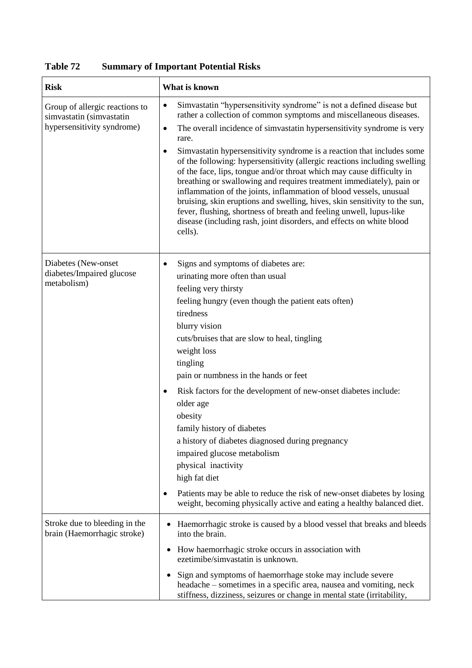| <b>Risk</b>                                                                              | What is known                                                                                                                                                                                                                                                                                                                                                                                                                                                                                                                                                                                                                                                                                                                                                                                                                                                                              |
|------------------------------------------------------------------------------------------|--------------------------------------------------------------------------------------------------------------------------------------------------------------------------------------------------------------------------------------------------------------------------------------------------------------------------------------------------------------------------------------------------------------------------------------------------------------------------------------------------------------------------------------------------------------------------------------------------------------------------------------------------------------------------------------------------------------------------------------------------------------------------------------------------------------------------------------------------------------------------------------------|
| Group of allergic reactions to<br>simvastatin (simvastatin<br>hypersensitivity syndrome) | Simvastatin "hypersensitivity syndrome" is not a defined disease but<br>$\bullet$<br>rather a collection of common symptoms and miscellaneous diseases.<br>The overall incidence of simvastatin hypersensitivity syndrome is very<br>$\bullet$<br>rare.<br>Simvastatin hypersensitivity syndrome is a reaction that includes some<br>$\bullet$<br>of the following: hypersensitivity (allergic reactions including swelling<br>of the face, lips, tongue and/or throat which may cause difficulty in<br>breathing or swallowing and requires treatment immediately), pain or<br>inflammation of the joints, inflammation of blood vessels, unusual<br>bruising, skin eruptions and swelling, hives, skin sensitivity to the sun,<br>fever, flushing, shortness of breath and feeling unwell, lupus-like<br>disease (including rash, joint disorders, and effects on white blood<br>cells). |
| Diabetes (New-onset<br>diabetes/Impaired glucose<br>metabolism)                          | Signs and symptoms of diabetes are:<br>urinating more often than usual<br>feeling very thirsty<br>feeling hungry (even though the patient eats often)<br>tiredness<br>blurry vision<br>cuts/bruises that are slow to heal, tingling<br>weight loss<br>tingling<br>pain or numbness in the hands or feet<br>Risk factors for the development of new-onset diabetes include:<br>٠<br>older age<br>obesity<br>family history of diabetes<br>a history of diabetes diagnosed during pregnancy<br>impaired glucose metabolism<br>physical inactivity<br>high fat diet<br>Patients may be able to reduce the risk of new-onset diabetes by losing<br>weight, becoming physically active and eating a healthy balanced diet.                                                                                                                                                                      |
| Stroke due to bleeding in the<br>brain (Haemorrhagic stroke)                             | Haemorrhagic stroke is caused by a blood vessel that breaks and bleeds<br>into the brain.<br>How haemorrhagic stroke occurs in association with<br>$\bullet$<br>ezetimibe/simvastatin is unknown.<br>Sign and symptoms of haemorrhage stoke may include severe<br>٠<br>headache – sometimes in a specific area, nausea and vomiting, neck<br>stiffness, dizziness, seizures or change in mental state (irritability,                                                                                                                                                                                                                                                                                                                                                                                                                                                                       |

**Table 72 Summary of Important Potential Risks**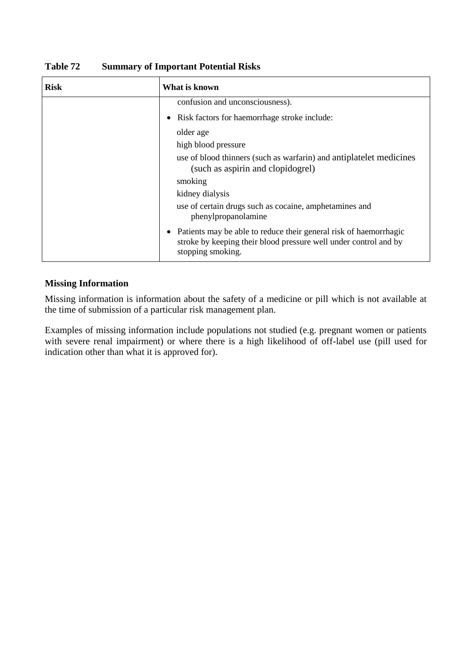| <b>Risk</b> | What is known                                                                                                                                                           |
|-------------|-------------------------------------------------------------------------------------------------------------------------------------------------------------------------|
|             | confusion and unconsciousness).                                                                                                                                         |
|             | Risk factors for haemorrhage stroke include:<br>٠                                                                                                                       |
|             | older age                                                                                                                                                               |
|             | high blood pressure                                                                                                                                                     |
|             | use of blood thinners (such as warfarin) and antiplatelet medicines<br>(such as aspirin and clopidogrel)                                                                |
|             | smoking                                                                                                                                                                 |
|             | kidney dialysis                                                                                                                                                         |
|             | use of certain drugs such as cocaine, amphetamines and<br>phenylpropanolamine                                                                                           |
|             | Patients may be able to reduce their general risk of haemorrhagic<br>$\bullet$<br>stroke by keeping their blood pressure well under control and by<br>stopping smoking. |

**Table 72 Summary of Important Potential Risks**

## **Missing Information**

Missing information is information about the safety of a medicine or pill which is not available at the time of submission of a particular risk management plan.

Examples of missing information include populations not studied (e.g. pregnant women or patients with severe renal impairment) or where there is a high likelihood of off-label use (pill used for indication other than what it is approved for).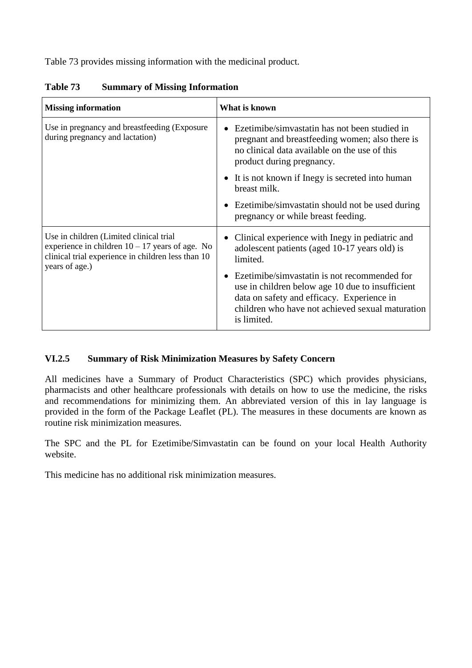Table 73 provides missing information with the medicinal product.

| <b>Missing information</b>                                                                                                                                            | What is known                                                                                                                                                                                                                  |  |
|-----------------------------------------------------------------------------------------------------------------------------------------------------------------------|--------------------------------------------------------------------------------------------------------------------------------------------------------------------------------------------------------------------------------|--|
| Use in pregnancy and breastfeeding (Exposure)<br>during pregnancy and lactation)                                                                                      | Ezetimibe/simvastatin has not been studied in<br>$\bullet$<br>pregnant and breastfeeding women; also there is<br>no clinical data available on the use of this<br>product during pregnancy.                                    |  |
|                                                                                                                                                                       | • It is not known if Inegy is secreted into human<br>breast milk.                                                                                                                                                              |  |
|                                                                                                                                                                       | • Ezetimibe/simvastatin should not be used during<br>pregnancy or while breast feeding.                                                                                                                                        |  |
| Use in children (Limited clinical trial)<br>experience in children $10 - 17$ years of age. No<br>clinical trial experience in children less than 10<br>years of age.) | Clinical experience with Inegy in pediatric and<br>$\bullet$<br>adolescent patients (aged 10-17 years old) is<br>limited.                                                                                                      |  |
|                                                                                                                                                                       | Ezetimibe/simvastatin is not recommended for<br>$\bullet$<br>use in children below age 10 due to insufficient<br>data on safety and efficacy. Experience in<br>children who have not achieved sexual maturation<br>is limited. |  |

**Table 73 Summary of Missing Information**

# **VI.2.5 Summary of Risk Minimization Measures by Safety Concern**

All medicines have a Summary of Product Characteristics (SPC) which provides physicians, pharmacists and other healthcare professionals with details on how to use the medicine, the risks and recommendations for minimizing them. An abbreviated version of this in lay language is provided in the form of the Package Leaflet (PL). The measures in these documents are known as routine risk minimization measures.

The SPC and the PL for Ezetimibe/Simvastatin can be found on your local Health Authority website.

This medicine has no additional risk minimization measures.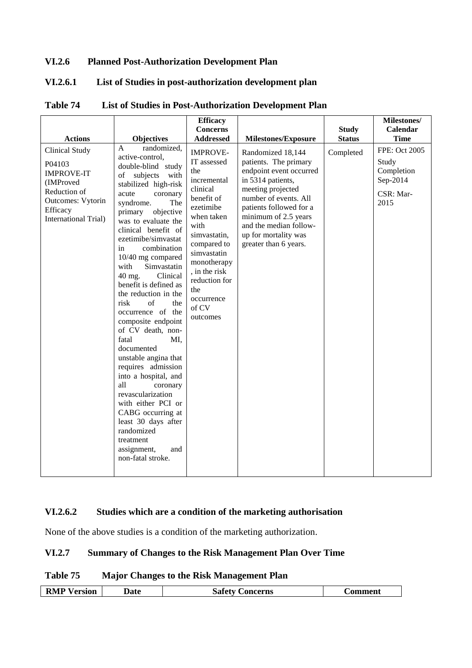## **VI.2.6 Planned Post-Authorization Development Plan**

# **VI.2.6.1 List of Studies in post-authorization development plan**

| <b>Actions</b>                                                                                                                             | <b>Objectives</b>                                                                                                                                                                                                                                                                                                                                                                                                                                                                                                                                                                                                                                                                                                                                                  | <b>Efficacy</b><br><b>Concerns</b><br><b>Addressed</b>                                                                                                                                                                                                     | <b>Milestones/Exposure</b>                                                                                                                                                                                                                                             | <b>Study</b><br><b>Status</b> | Milestones/<br>Calendar<br><b>Time</b>                                |
|--------------------------------------------------------------------------------------------------------------------------------------------|--------------------------------------------------------------------------------------------------------------------------------------------------------------------------------------------------------------------------------------------------------------------------------------------------------------------------------------------------------------------------------------------------------------------------------------------------------------------------------------------------------------------------------------------------------------------------------------------------------------------------------------------------------------------------------------------------------------------------------------------------------------------|------------------------------------------------------------------------------------------------------------------------------------------------------------------------------------------------------------------------------------------------------------|------------------------------------------------------------------------------------------------------------------------------------------------------------------------------------------------------------------------------------------------------------------------|-------------------------------|-----------------------------------------------------------------------|
| <b>Clinical Study</b><br>P04103<br><b>IMPROVE-IT</b><br>(IMProved<br>Reduction of<br>Outcomes: Vytorin<br>Efficacy<br>International Trial) | randomized,<br>A<br>active-control,<br>double-blind study<br>of<br>subjects<br>with<br>stabilized high-risk<br>acute<br>coronary<br>syndrome.<br>The<br>primary<br>objective<br>was to evaluate the<br>clinical benefit of<br>ezetimibe/simvastat<br>in<br>combination<br>10/40 mg compared<br>Simvastatin<br>with<br>Clinical<br>40 mg.<br>benefit is defined as<br>the reduction in the<br>risk<br>of<br>the<br>occurrence of the<br>composite endpoint<br>of CV death, non-<br>fatal<br>MI.<br>documented<br>unstable angina that<br>requires admission<br>into a hospital, and<br>all<br>coronary<br>revascularization<br>with either PCI or<br>CABG occurring at<br>least 30 days after<br>randomized<br>treatment<br>assignment,<br>and<br>non-fatal stroke. | <b>IMPROVE-</b><br>IT assessed<br>the<br>incremental<br>clinical<br>benefit of<br>ezetimibe<br>when taken<br>with<br>simvastatin,<br>compared to<br>simvastatin<br>monotherapy<br>, in the risk<br>reduction for<br>the<br>occurrence<br>of CV<br>outcomes | Randomized 18,144<br>patients. The primary<br>endpoint event occurred<br>in 5314 patients,<br>meeting projected<br>number of events. All<br>patients followed for a<br>minimum of 2.5 years<br>and the median follow-<br>up for mortality was<br>greater than 6 years. | Completed                     | FPE: Oct 2005<br>Study<br>Completion<br>Sep-2014<br>CSR: Mar-<br>2015 |

#### **Table 74 List of Studies in Post-Authorization Development Plan**

### **VI.2.6.2 Studies which are a condition of the marketing authorisation**

None of the above studies is a condition of the marketing authorization.

## **VI.2.7 Summary of Changes to the Risk Management Plan Over Time**

### **Table 75 Major Changes to the Risk Management Plan**

| RMP V<br>ersion/ | Jate | <b>Concerns</b><br>safety | <b>Comment</b> |
|------------------|------|---------------------------|----------------|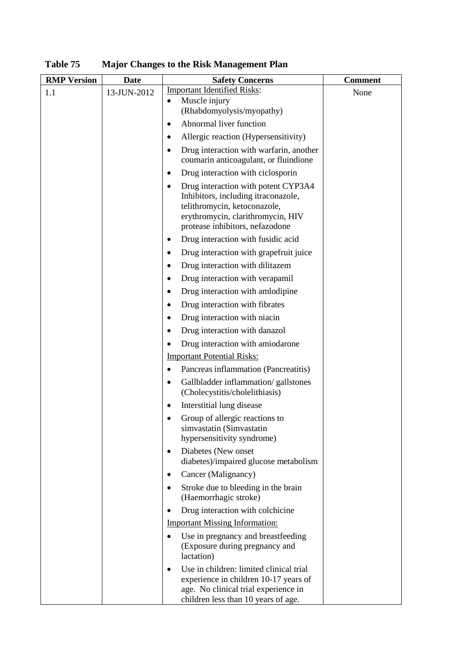| <b>RMP</b> Version | Date        | <b>Safety Concerns</b>                                                                                                                                                                  | <b>Comment</b> |
|--------------------|-------------|-----------------------------------------------------------------------------------------------------------------------------------------------------------------------------------------|----------------|
| 1.1                | 13-JUN-2012 | <b>Important Identified Risks:</b><br>Muscle injury<br>$\bullet$                                                                                                                        | None           |
|                    |             | (Rhabdomyolysis/myopathy)                                                                                                                                                               |                |
|                    |             | Abnormal liver function<br>٠                                                                                                                                                            |                |
|                    |             | Allergic reaction (Hypersensitivity)<br>٠                                                                                                                                               |                |
|                    |             | Drug interaction with warfarin, another<br>٠<br>coumarin anticoagulant, or fluindione                                                                                                   |                |
|                    |             | Drug interaction with ciclosporin<br>٠                                                                                                                                                  |                |
|                    |             | Drug interaction with potent CYP3A4<br>٠<br>Inhibitors, including itraconazole,<br>telithromycin, ketoconazole,<br>erythromycin, clarithromycin, HIV<br>protease inhibitors, nefazodone |                |
|                    |             | Drug interaction with fusidic acid                                                                                                                                                      |                |
|                    |             | Drug interaction with grapefruit juice                                                                                                                                                  |                |
|                    |             | Drug interaction with dilitazem                                                                                                                                                         |                |
|                    |             | Drug interaction with verapamil<br>٠                                                                                                                                                    |                |
|                    |             | Drug interaction with amlodipine<br>$\bullet$                                                                                                                                           |                |
|                    |             | Drug interaction with fibrates                                                                                                                                                          |                |
|                    |             | Drug interaction with niacin<br>٠                                                                                                                                                       |                |
|                    |             | Drug interaction with danazol<br>٠                                                                                                                                                      |                |
|                    |             | Drug interaction with amiodarone<br>$\bullet$                                                                                                                                           |                |
|                    |             | <b>Important Potential Risks:</b>                                                                                                                                                       |                |
|                    |             | Pancreas inflammation (Pancreatitis)<br>٠                                                                                                                                               |                |
|                    |             | Gallbladder inflammation/gallstones<br>$\bullet$<br>(Cholecystitis/cholelithiasis)                                                                                                      |                |
|                    |             | Interstitial lung disease                                                                                                                                                               |                |
|                    |             | Group of allergic reactions to<br>simvastatin (Simvastatin<br>hypersensitivity syndrome)                                                                                                |                |
|                    |             | Diabetes (New onset<br>$\bullet$<br>diabetes)/impaired glucose metabolism                                                                                                               |                |
|                    |             | Cancer (Malignancy)<br>$\bullet$                                                                                                                                                        |                |
|                    |             | Stroke due to bleeding in the brain<br>$\bullet$<br>(Haemorrhagic stroke)                                                                                                               |                |
|                    |             | Drug interaction with colchicine<br>$\bullet$                                                                                                                                           |                |
|                    |             | <b>Important Missing Information:</b>                                                                                                                                                   |                |
|                    |             | Use in pregnancy and breastfeeding<br>$\bullet$<br>(Exposure during pregnancy and<br>lactation)                                                                                         |                |
|                    |             | Use in children: limited clinical trial<br>$\bullet$<br>experience in children 10-17 years of<br>age. No clinical trial experience in<br>children less than 10 years of age.            |                |

**Table 75 Major Changes to the Risk Management Plan**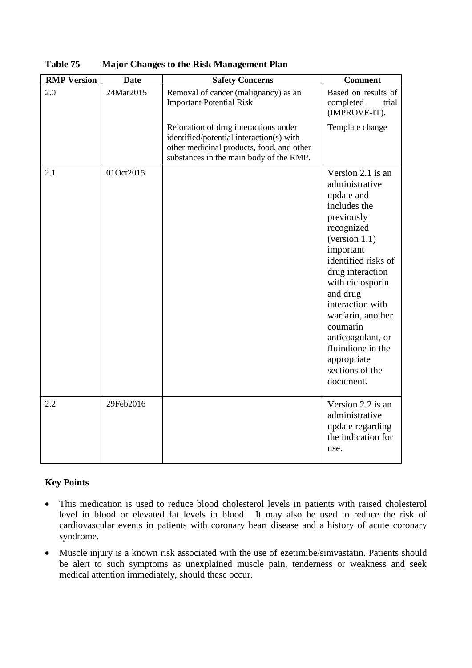| <b>RMP</b> Version | <b>Date</b> | <b>Safety Concerns</b>                                                                                                                                                    | <b>Comment</b>                                                                                                                                                                                                                                                                                                                                       |
|--------------------|-------------|---------------------------------------------------------------------------------------------------------------------------------------------------------------------------|------------------------------------------------------------------------------------------------------------------------------------------------------------------------------------------------------------------------------------------------------------------------------------------------------------------------------------------------------|
| 2.0                | 24Mar2015   | Removal of cancer (malignancy) as an<br><b>Important Potential Risk</b>                                                                                                   | Based on results of<br>completed<br>trial<br>(IMPROVE-IT).                                                                                                                                                                                                                                                                                           |
|                    |             | Relocation of drug interactions under<br>identified/potential interaction(s) with<br>other medicinal products, food, and other<br>substances in the main body of the RMP. | Template change                                                                                                                                                                                                                                                                                                                                      |
| 2.1                | 01Oct2015   |                                                                                                                                                                           | Version 2.1 is an<br>administrative<br>update and<br>includes the<br>previously<br>recognized<br>(version 1.1)<br>important<br>identified risks of<br>drug interaction<br>with ciclosporin<br>and drug<br>interaction with<br>warfarin, another<br>coumarin<br>anticoagulant, or<br>fluindione in the<br>appropriate<br>sections of the<br>document. |
| 2.2                | 29Feb2016   |                                                                                                                                                                           | Version 2.2 is an<br>administrative<br>update regarding<br>the indication for<br>use.                                                                                                                                                                                                                                                                |

**Table 75 Major Changes to the Risk Management Plan**

## **Key Points**

- This medication is used to reduce blood cholesterol levels in patients with raised cholesterol level in blood or elevated fat levels in blood. It may also be used to reduce the risk of cardiovascular events in patients with coronary heart disease and a history of acute coronary syndrome.
- Muscle injury is a known risk associated with the use of ezetimibe/simvastatin. Patients should be alert to such symptoms as unexplained muscle pain, tenderness or weakness and seek medical attention immediately, should these occur.